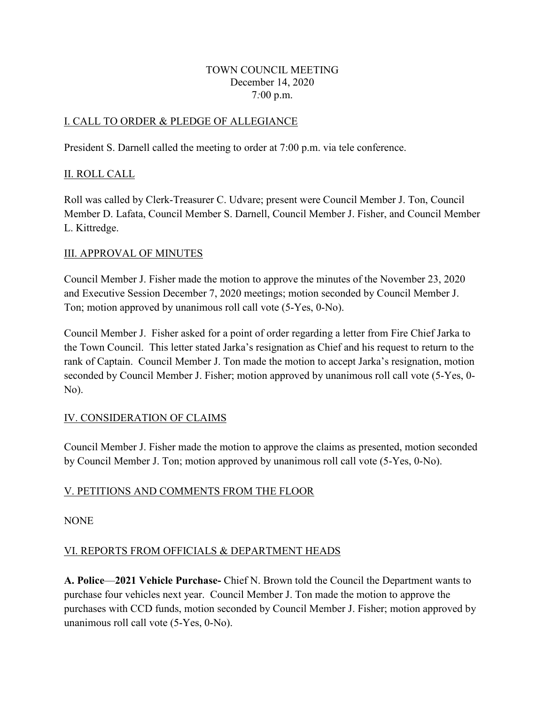#### TOWN COUNCIL MEETING December 14, 2020 7*:*00 p.m.

## I. CALL TO ORDER & PLEDGE OF ALLEGIANCE

President S. Darnell called the meeting to order at 7:00 p.m. via tele conference.

## II. ROLL CALL

Roll was called by Clerk-Treasurer C. Udvare; present were Council Member J. Ton, Council Member D. Lafata, Council Member S. Darnell, Council Member J. Fisher, and Council Member L. Kittredge.

## III. APPROVAL OF MINUTES

Council Member J. Fisher made the motion to approve the minutes of the November 23, 2020 and Executive Session December 7, 2020 meetings; motion seconded by Council Member J. Ton; motion approved by unanimous roll call vote (5-Yes, 0-No).

Council Member J. Fisher asked for a point of order regarding a letter from Fire Chief Jarka to the Town Council. This letter stated Jarka's resignation as Chief and his request to return to the rank of Captain. Council Member J. Ton made the motion to accept Jarka's resignation, motion seconded by Council Member J. Fisher; motion approved by unanimous roll call vote (5-Yes, 0- No).

# IV. CONSIDERATION OF CLAIMS

Council Member J. Fisher made the motion to approve the claims as presented, motion seconded by Council Member J. Ton; motion approved by unanimous roll call vote (5-Yes, 0-No).

# V. PETITIONS AND COMMENTS FROM THE FLOOR

**NONE** 

# VI. REPORTS FROM OFFICIALS & DEPARTMENT HEADS

**A. Police**—**2021 Vehicle Purchase-** Chief N. Brown told the Council the Department wants to purchase four vehicles next year. Council Member J. Ton made the motion to approve the purchases with CCD funds, motion seconded by Council Member J. Fisher; motion approved by unanimous roll call vote (5-Yes, 0-No).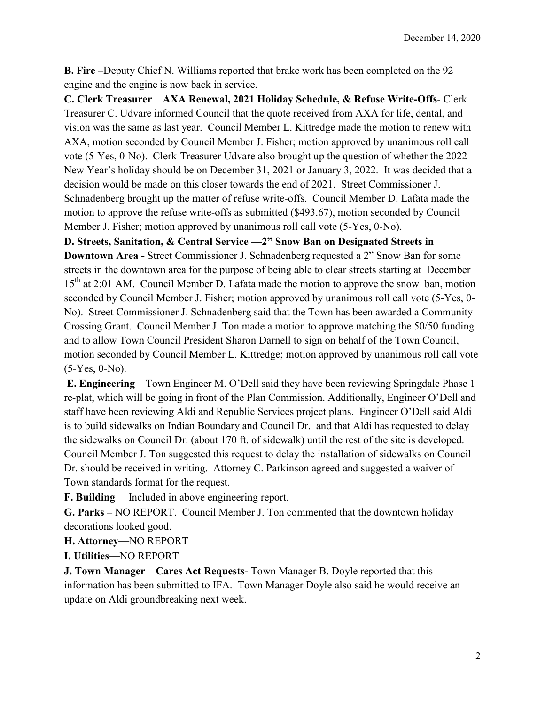**B. Fire –**Deputy Chief N. Williams reported that brake work has been completed on the 92 engine and the engine is now back in service.

**C. Clerk Treasurer**—**AXA Renewal, 2021 Holiday Schedule, & Refuse Write-Offs**- Clerk Treasurer C. Udvare informed Council that the quote received from AXA for life, dental, and vision was the same as last year. Council Member L. Kittredge made the motion to renew with AXA, motion seconded by Council Member J. Fisher; motion approved by unanimous roll call vote (5-Yes, 0-No). Clerk-Treasurer Udvare also brought up the question of whether the 2022 New Year's holiday should be on December 31, 2021 or January 3, 2022. It was decided that a decision would be made on this closer towards the end of 2021. Street Commissioner J. Schnadenberg brought up the matter of refuse write-offs. Council Member D. Lafata made the motion to approve the refuse write-offs as submitted (\$493.67), motion seconded by Council Member J. Fisher; motion approved by unanimous roll call vote (5-Yes, 0-No).

**D. Streets, Sanitation, & Central Service —2" Snow Ban on Designated Streets in** 

**Downtown Area -** Street Commissioner J. Schnadenberg requested a 2" Snow Ban for some streets in the downtown area for the purpose of being able to clear streets starting at December 15<sup>th</sup> at 2:01 AM. Council Member D. Lafata made the motion to approve the snow ban, motion seconded by Council Member J. Fisher; motion approved by unanimous roll call vote (5-Yes, 0- No). Street Commissioner J. Schnadenberg said that the Town has been awarded a Community Crossing Grant. Council Member J. Ton made a motion to approve matching the 50/50 funding and to allow Town Council President Sharon Darnell to sign on behalf of the Town Council, motion seconded by Council Member L. Kittredge; motion approved by unanimous roll call vote (5-Yes, 0-No).

**E. Engineering**—Town Engineer M. O'Dell said they have been reviewing Springdale Phase 1 re-plat, which will be going in front of the Plan Commission. Additionally, Engineer O'Dell and staff have been reviewing Aldi and Republic Services project plans. Engineer O'Dell said Aldi is to build sidewalks on Indian Boundary and Council Dr. and that Aldi has requested to delay the sidewalks on Council Dr. (about 170 ft. of sidewalk) until the rest of the site is developed. Council Member J. Ton suggested this request to delay the installation of sidewalks on Council Dr. should be received in writing. Attorney C. Parkinson agreed and suggested a waiver of Town standards format for the request.

**F. Building** —Included in above engineering report.

**G. Parks –** NO REPORT. Council Member J. Ton commented that the downtown holiday decorations looked good.

**H. Attorney**—NO REPORT

**I. Utilities**—NO REPORT

**J. Town Manager**—**Cares Act Requests-** Town Manager B. Doyle reported that this information has been submitted to IFA. Town Manager Doyle also said he would receive an update on Aldi groundbreaking next week.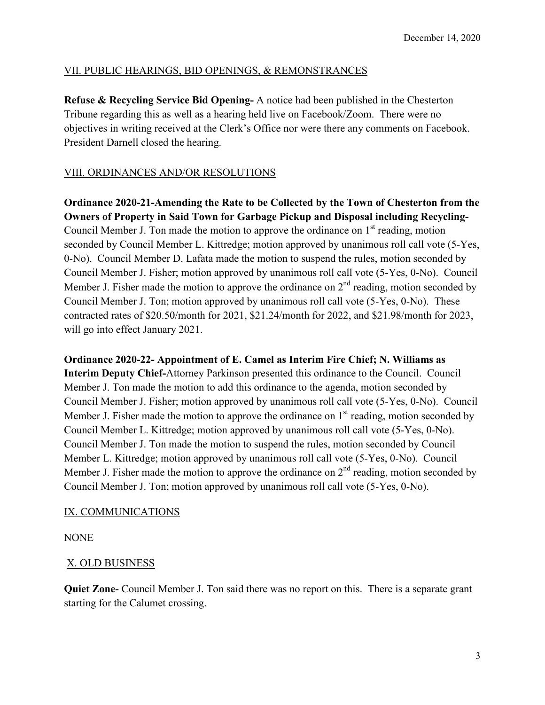### VII. PUBLIC HEARINGS, BID OPENINGS, & REMONSTRANCES

**Refuse & Recycling Service Bid Opening-** A notice had been published in the Chesterton Tribune regarding this as well as a hearing held live on Facebook/Zoom. There were no objectives in writing received at the Clerk's Office nor were there any comments on Facebook. President Darnell closed the hearing.

# VIII. ORDINANCES AND/OR RESOLUTIONS

**Ordinance 2020-21-Amending the Rate to be Collected by the Town of Chesterton from the Owners of Property in Said Town for Garbage Pickup and Disposal including Recycling-**Council Member J. Ton made the motion to approve the ordinance on  $1<sup>st</sup>$  reading, motion seconded by Council Member L. Kittredge; motion approved by unanimous roll call vote (5-Yes, 0-No). Council Member D. Lafata made the motion to suspend the rules, motion seconded by Council Member J. Fisher; motion approved by unanimous roll call vote (5-Yes, 0-No). Council Member J. Fisher made the motion to approve the ordinance on  $2<sup>nd</sup>$  reading, motion seconded by Council Member J. Ton; motion approved by unanimous roll call vote (5-Yes, 0-No). These contracted rates of \$20.50/month for 2021, \$21.24/month for 2022, and \$21.98/month for 2023, will go into effect January 2021.

**Ordinance 2020-22- Appointment of E. Camel as Interim Fire Chief; N. Williams as Interim Deputy Chief-**Attorney Parkinson presented this ordinance to the Council. Council Member J. Ton made the motion to add this ordinance to the agenda, motion seconded by Council Member J. Fisher; motion approved by unanimous roll call vote (5-Yes, 0-No). Council Member J. Fisher made the motion to approve the ordinance on  $1<sup>st</sup>$  reading, motion seconded by Council Member L. Kittredge; motion approved by unanimous roll call vote (5-Yes, 0-No). Council Member J. Ton made the motion to suspend the rules, motion seconded by Council Member L. Kittredge; motion approved by unanimous roll call vote (5-Yes, 0-No). Council Member J. Fisher made the motion to approve the ordinance on  $2<sup>nd</sup>$  reading, motion seconded by Council Member J. Ton; motion approved by unanimous roll call vote (5-Yes, 0-No).

### IX. COMMUNICATIONS

NONE

### X. OLD BUSINESS

**Quiet Zone-** Council Member J. Ton said there was no report on this. There is a separate grant starting for the Calumet crossing.